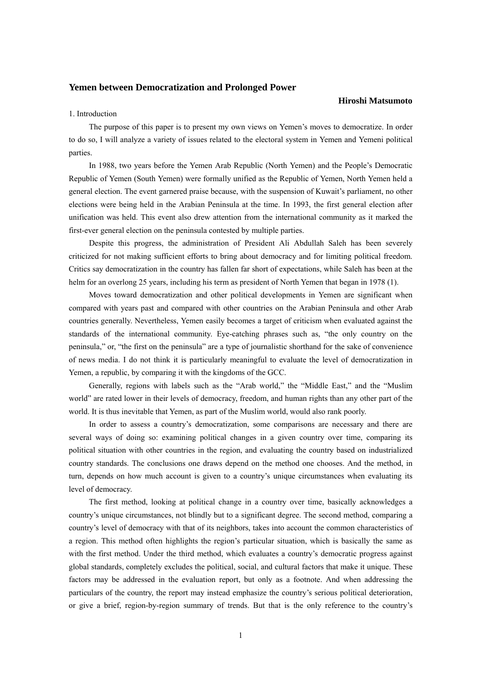# **Yemen between Democratization and Prolonged Power**

#### **Hiroshi Matsumoto**

### 1. Introduction

The purpose of this paper is to present my own views on Yemen's moves to democratize. In order to do so, I will analyze a variety of issues related to the electoral system in Yemen and Yemeni political parties.

In 1988, two years before the Yemen Arab Republic (North Yemen) and the People's Democratic Republic of Yemen (South Yemen) were formally unified as the Republic of Yemen, North Yemen held a general election. The event garnered praise because, with the suspension of Kuwait's parliament, no other elections were being held in the Arabian Peninsula at the time. In 1993, the first general election after unification was held. This event also drew attention from the international community as it marked the first-ever general election on the peninsula contested by multiple parties.

Despite this progress, the administration of President Ali Abdullah Saleh has been severely criticized for not making sufficient efforts to bring about democracy and for limiting political freedom. Critics say democratization in the country has fallen far short of expectations, while Saleh has been at the helm for an overlong 25 years, including his term as president of North Yemen that began in 1978 (1).

Moves toward democratization and other political developments in Yemen are significant when compared with years past and compared with other countries on the Arabian Peninsula and other Arab countries generally. Nevertheless, Yemen easily becomes a target of criticism when evaluated against the standards of the international community. Eye-catching phrases such as, "the only country on the peninsula," or, "the first on the peninsula" are a type of journalistic shorthand for the sake of convenience of news media. I do not think it is particularly meaningful to evaluate the level of democratization in Yemen, a republic, by comparing it with the kingdoms of the GCC.

Generally, regions with labels such as the "Arab world," the "Middle East," and the "Muslim world" are rated lower in their levels of democracy, freedom, and human rights than any other part of the world. It is thus inevitable that Yemen, as part of the Muslim world, would also rank poorly.

In order to assess a country's democratization, some comparisons are necessary and there are several ways of doing so: examining political changes in a given country over time, comparing its political situation with other countries in the region, and evaluating the country based on industrialized country standards. The conclusions one draws depend on the method one chooses. And the method, in turn, depends on how much account is given to a country's unique circumstances when evaluating its level of democracy.

The first method, looking at political change in a country over time, basically acknowledges a country's unique circumstances, not blindly but to a significant degree. The second method, comparing a country's level of democracy with that of its neighbors, takes into account the common characteristics of a region. This method often highlights the region's particular situation, which is basically the same as with the first method. Under the third method, which evaluates a country's democratic progress against global standards, completely excludes the political, social, and cultural factors that make it unique. These factors may be addressed in the evaluation report, but only as a footnote. And when addressing the particulars of the country, the report may instead emphasize the country's serious political deterioration, or give a brief, region-by-region summary of trends. But that is the only reference to the country's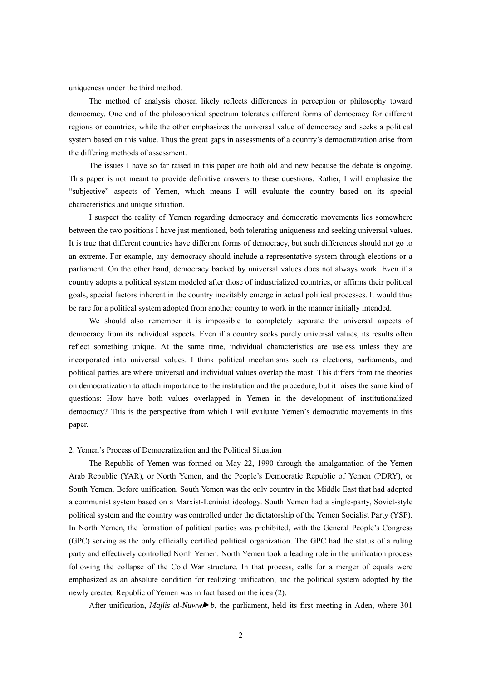uniqueness under the third method.

The method of analysis chosen likely reflects differences in perception or philosophy toward democracy. One end of the philosophical spectrum tolerates different forms of democracy for different regions or countries, while the other emphasizes the universal value of democracy and seeks a political system based on this value. Thus the great gaps in assessments of a country's democratization arise from the differing methods of assessment.

The issues I have so far raised in this paper are both old and new because the debate is ongoing. This paper is not meant to provide definitive answers to these questions. Rather, I will emphasize the "subjective" aspects of Yemen, which means I will evaluate the country based on its special characteristics and unique situation.

I suspect the reality of Yemen regarding democracy and democratic movements lies somewhere between the two positions I have just mentioned, both tolerating uniqueness and seeking universal values. It is true that different countries have different forms of democracy, but such differences should not go to an extreme. For example, any democracy should include a representative system through elections or a parliament. On the other hand, democracy backed by universal values does not always work. Even if a country adopts a political system modeled after those of industrialized countries, or affirms their political goals, special factors inherent in the country inevitably emerge in actual political processes. It would thus be rare for a political system adopted from another country to work in the manner initially intended.

We should also remember it is impossible to completely separate the universal aspects of democracy from its individual aspects. Even if a country seeks purely universal values, its results often reflect something unique. At the same time, individual characteristics are useless unless they are incorporated into universal values. I think political mechanisms such as elections, parliaments, and political parties are where universal and individual values overlap the most. This differs from the theories on democratization to attach importance to the institution and the procedure, but it raises the same kind of questions: How have both values overlapped in Yemen in the development of institutionalized democracy? This is the perspective from which I will evaluate Yemen's democratic movements in this paper.

### 2. Yemen's Process of Democratization and the Political Situation

The Republic of Yemen was formed on May 22, 1990 through the amalgamation of the Yemen Arab Republic (YAR), or North Yemen, and the People's Democratic Republic of Yemen (PDRY), or South Yemen. Before unification, South Yemen was the only country in the Middle East that had adopted a communist system based on a Marxist-Leninist ideology. South Yemen had a single-party, Soviet-style political system and the country was controlled under the dictatorship of the Yemen Socialist Party (YSP). In North Yemen, the formation of political parties was prohibited, with the General People's Congress (GPC) serving as the only officially certified political organization. The GPC had the status of a ruling party and effectively controlled North Yemen. North Yemen took a leading role in the unification process following the collapse of the Cold War structure. In that process, calls for a merger of equals were emphasized as an absolute condition for realizing unification, and the political system adopted by the newly created Republic of Yemen was in fact based on the idea (2).

After unification, *Majlis al-Nuww* $\blacktriangleright$ , the parliament, held its first meeting in Aden, where 301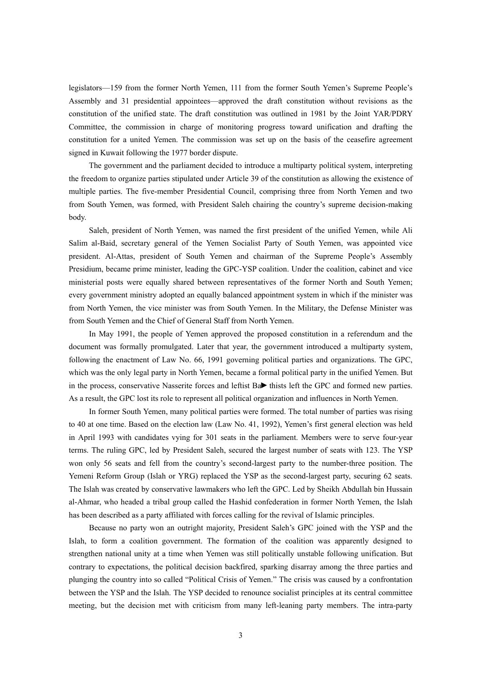legislators—159 from the former North Yemen, 111 from the former South Yemen's Supreme People's Assembly and 31 presidential appointees—approved the draft constitution without revisions as the constitution of the unified state. The draft constitution was outlined in 1981 by the Joint YAR/PDRY Committee, the commission in charge of monitoring progress toward unification and drafting the constitution for a united Yemen. The commission was set up on the basis of the ceasefire agreement signed in Kuwait following the 1977 border dispute.

The government and the parliament decided to introduce a multiparty political system, interpreting the freedom to organize parties stipulated under Article 39 of the constitution as allowing the existence of multiple parties. The five-member Presidential Council, comprising three from North Yemen and two from South Yemen, was formed, with President Saleh chairing the country's supreme decision-making body.

Saleh, president of North Yemen, was named the first president of the unified Yemen, while Ali Salim al-Baid, secretary general of the Yemen Socialist Party of South Yemen, was appointed vice president. Al-Attas, president of South Yemen and chairman of the Supreme People's Assembly Presidium, became prime minister, leading the GPC-YSP coalition. Under the coalition, cabinet and vice ministerial posts were equally shared between representatives of the former North and South Yemen; every government ministry adopted an equally balanced appointment system in which if the minister was from North Yemen, the vice minister was from South Yemen. In the Military, the Defense Minister was from South Yemen and the Chief of General Staff from North Yemen.

In May 1991, the people of Yemen approved the proposed constitution in a referendum and the document was formally promulgated. Later that year, the government introduced a multiparty system, following the enactment of Law No. 66, 1991 governing political parties and organizations. The GPC, which was the only legal party in North Yemen, became a formal political party in the unified Yemen. But in the process, conservative Nasserite forces and leftist  $Ba$  thists left the GPC and formed new parties. As a result, the GPC lost its role to represent all political organization and influences in North Yemen.

In former South Yemen, many political parties were formed. The total number of parties was rising to 40 at one time. Based on the election law (Law No. 41, 1992), Yemen's first general election was held in April 1993 with candidates vying for 301 seats in the parliament. Members were to serve four-year terms. The ruling GPC, led by President Saleh, secured the largest number of seats with 123. The YSP won only 56 seats and fell from the country's second-largest party to the number-three position. The Yemeni Reform Group (Islah or YRG) replaced the YSP as the second-largest party, securing 62 seats. The Islah was created by conservative lawmakers who left the GPC. Led by Sheikh Abdullah bin Hussain al-Ahmar, who headed a tribal group called the Hashid confederation in former North Yemen, the Islah has been described as a party affiliated with forces calling for the revival of Islamic principles.

Because no party won an outright majority, President Saleh's GPC joined with the YSP and the Islah, to form a coalition government. The formation of the coalition was apparently designed to strengthen national unity at a time when Yemen was still politically unstable following unification. But contrary to expectations, the political decision backfired, sparking disarray among the three parties and plunging the country into so called "Political Crisis of Yemen." The crisis was caused by a confrontation between the YSP and the Islah. The YSP decided to renounce socialist principles at its central committee meeting, but the decision met with criticism from many left-leaning party members. The intra-party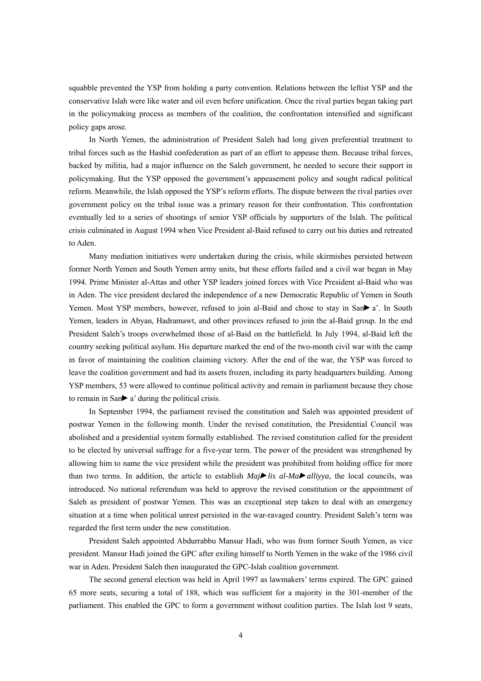squabble prevented the YSP from holding a party convention. Relations between the leftist YSP and the conservative Islah were like water and oil even before unification. Once the rival parties began taking part in the policymaking process as members of the coalition, the confrontation intensified and significant policy gaps arose.

In North Yemen, the administration of President Saleh had long given preferential treatment to tribal forces such as the Hashid confederation as part of an effort to appease them. Because tribal forces, backed by militia, had a major influence on the Saleh government, he needed to secure their support in policymaking. But the YSP opposed the government's appeasement policy and sought radical political reform. Meanwhile, the Islah opposed the YSP's reform efforts. The dispute between the rival parties over government policy on the tribal issue was a primary reason for their confrontation. This confrontation eventually led to a series of shootings of senior YSP officials by supporters of the Islah. The political crisis culminated in August 1994 when Vice President al-Baid refused to carry out his duties and retreated to Aden.

Many mediation initiatives were undertaken during the crisis, while skirmishes persisted between former North Yemen and South Yemen army units, but these efforts failed and a civil war began in May 1994. Prime Minister al-Attas and other YSP leaders joined forces with Vice President al-Baid who was in Aden. The vice president declared the independence of a new Democratic Republic of Yemen in South Yemen. Most YSP members, however, refused to join al-Baid and chose to stay in San $\blacktriangleright$  a'. In South Yemen, leaders in Abyan, Hadramawt, and other provinces refused to join the al-Baid group. In the end President Saleh's troops overwhelmed those of al-Baid on the battlefield. In July 1994, al-Baid left the country seeking political asylum. His departure marked the end of the two-month civil war with the camp in favor of maintaining the coalition claiming victory. After the end of the war, the YSP was forced to leave the coalition government and had its assets frozen, including its party headquarters building. Among YSP members, 53 were allowed to continue political activity and remain in parliament because they chose to remain in San $\triangleright$  a' during the political crisis.

In September 1994, the parliament revised the constitution and Saleh was appointed president of postwar Yemen in the following month. Under the revised constitution, the Presidential Council was abolished and a presidential system formally established. The revised constitution called for the president to be elected by universal suffrage for a five-year term. The power of the president was strengthened by allowing him to name the vice president while the president was prohibited from holding office for more than two terms. In addition, the article to establish  $Mai \rightarrow \ell i s$  allivial allivial, the local councils, was introduced. No national referendum was held to approve the revised constitution or the appointment of Saleh as president of postwar Yemen. This was an exceptional step taken to deal with an emergency situation at a time when political unrest persisted in the war-ravaged country. President Saleh's term was regarded the first term under the new constitution.

President Saleh appointed Abdurrabbu Mansur Hadi, who was from former South Yemen, as vice president. Mansur Hadi joined the GPC after exiling himself to North Yemen in the wake of the 1986 civil war in Aden. President Saleh then inaugurated the GPC-Islah coalition government.

The second general election was held in April 1997 as lawmakers' terms expired. The GPC gained 65 more seats, securing a total of 188, which was sufficient for a majority in the 301-member of the parliament. This enabled the GPC to form a government without coalition parties. The Islah lost 9 seats,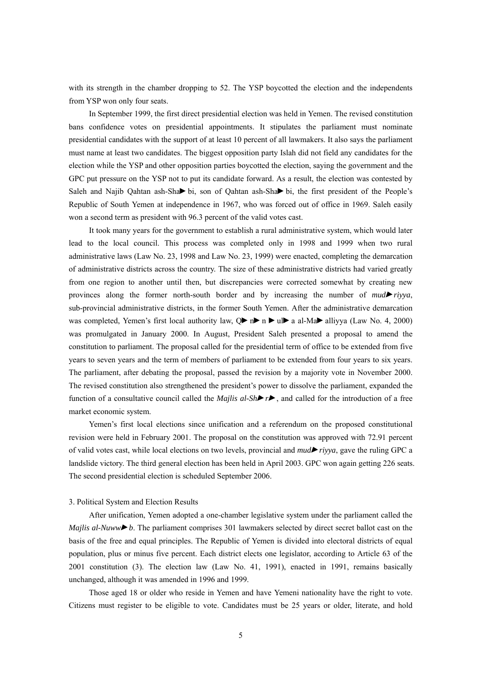with its strength in the chamber dropping to 52. The YSP boycotted the election and the independents from YSP won only four seats.

In September 1999, the first direct presidential election was held in Yemen. The revised constitution bans confidence votes on presidential appointments. It stipulates the parliament must nominate presidential candidates with the support of at least 10 percent of all lawmakers. It also says the parliament must name at least two candidates. The biggest opposition party Islah did not field any candidates for the election while the YSP and other opposition parties boycotted the election, saying the government and the GPC put pressure on the YSP not to put its candidate forward. As a result, the election was contested by Saleh and Najib Qahtan ash-Shabi, son of Qahtan ash-Shabi, the first president of the People's Republic of South Yemen at independence in 1967, who was forced out of office in 1969. Saleh easily won a second term as president with 96.3 percent of the valid votes cast.

It took many years for the government to establish a rural administrative system, which would later lead to the local council. This process was completed only in 1998 and 1999 when two rural administrative laws (Law No. 23, 1998 and Law No. 23, 1999) were enacted, completing the demarcation of administrative districts across the country. The size of these administrative districts had varied greatly from one region to another until then, but discrepancies were corrected somewhat by creating new provinces along the former north-south border and by increasing the number of *mudriyya*, sub-provincial administrative districts, in the former South Yemen. After the administrative demarcation was completed, Yemen's first local authority law,  $Q \triangleright n \triangleright n \triangleright u \triangleright a$  al-Ma $\triangleright$  alliyya (Law No. 4, 2000) was promulgated in January 2000. In August, President Saleh presented a proposal to amend the constitution to parliament. The proposal called for the presidential term of office to be extended from five years to seven years and the term of members of parliament to be extended from four years to six years. The parliament, after debating the proposal, passed the revision by a majority vote in November 2000. The revised constitution also strengthened the president's power to dissolve the parliament, expanded the function of a consultative council called the *Majlis al-Sh* $\blacktriangleright$ , and called for the introduction of a free market economic system.

Yemen's first local elections since unification and a referendum on the proposed constitutional revision were held in February 2001. The proposal on the constitution was approved with 72.91 percent of valid votes cast, while local elections on two levels, provincial and *mudriyya*, gave the ruling GPC a landslide victory. The third general election has been held in April 2003. GPC won again getting 226 seats. The second presidential election is scheduled September 2006.

#### 3. Political System and Election Results

After unification, Yemen adopted a one-chamber legislative system under the parliament called the *Majlis al-Nuwwb*. The parliament comprises 301 lawmakers selected by direct secret ballot cast on the basis of the free and equal principles. The Republic of Yemen is divided into electoral districts of equal population, plus or minus five percent. Each district elects one legislator, according to Article 63 of the 2001 constitution (3). The election law (Law No. 41, 1991), enacted in 1991, remains basically unchanged, although it was amended in 1996 and 1999.

Those aged 18 or older who reside in Yemen and have Yemeni nationality have the right to vote. Citizens must register to be eligible to vote. Candidates must be 25 years or older, literate, and hold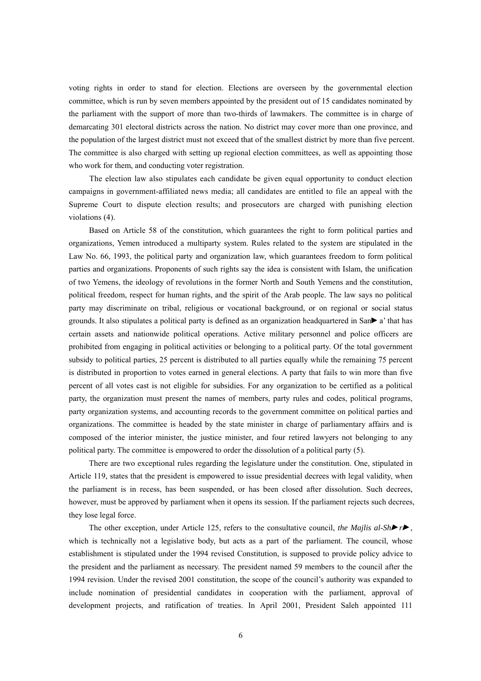voting rights in order to stand for election. Elections are overseen by the governmental election committee, which is run by seven members appointed by the president out of 15 candidates nominated by the parliament with the support of more than two-thirds of lawmakers. The committee is in charge of demarcating 301 electoral districts across the nation. No district may cover more than one province, and the population of the largest district must not exceed that of the smallest district by more than five percent. The committee is also charged with setting up regional election committees, as well as appointing those who work for them, and conducting voter registration.

The election law also stipulates each candidate be given equal opportunity to conduct election campaigns in government-affiliated news media; all candidates are entitled to file an appeal with the Supreme Court to dispute election results; and prosecutors are charged with punishing election violations (4).

Based on Article 58 of the constitution, which guarantees the right to form political parties and organizations, Yemen introduced a multiparty system. Rules related to the system are stipulated in the Law No. 66, 1993, the political party and organization law, which guarantees freedom to form political parties and organizations. Proponents of such rights say the idea is consistent with Islam, the unification of two Yemens, the ideology of revolutions in the former North and South Yemens and the constitution, political freedom, respect for human rights, and the spirit of the Arab people. The law says no political party may discriminate on tribal, religious or vocational background, or on regional or social status grounds. It also stipulates a political party is defined as an organization headquartered in San $\blacktriangleright$  a' that has certain assets and nationwide political operations. Active military personnel and police officers are prohibited from engaging in political activities or belonging to a political party. Of the total government subsidy to political parties, 25 percent is distributed to all parties equally while the remaining 75 percent is distributed in proportion to votes earned in general elections. A party that fails to win more than five percent of all votes cast is not eligible for subsidies. For any organization to be certified as a political party, the organization must present the names of members, party rules and codes, political programs, party organization systems, and accounting records to the government committee on political parties and organizations. The committee is headed by the state minister in charge of parliamentary affairs and is composed of the interior minister, the justice minister, and four retired lawyers not belonging to any political party. The committee is empowered to order the dissolution of a political party (5).

There are two exceptional rules regarding the legislature under the constitution. One, stipulated in Article 119, states that the president is empowered to issue presidential decrees with legal validity, when the parliament is in recess, has been suspended, or has been closed after dissolution. Such decrees, however, must be approved by parliament when it opens its session. If the parliament rejects such decrees, they lose legal force.

The other exception, under Article 125, refers to the consultative council, *the Majlis al-Sh* $\blacktriangleright$ , which is technically not a legislative body, but acts as a part of the parliament. The council, whose establishment is stipulated under the 1994 revised Constitution, is supposed to provide policy advice to the president and the parliament as necessary. The president named 59 members to the council after the 1994 revision. Under the revised 2001 constitution, the scope of the council's authority was expanded to include nomination of presidential candidates in cooperation with the parliament, approval of development projects, and ratification of treaties. In April 2001, President Saleh appointed 111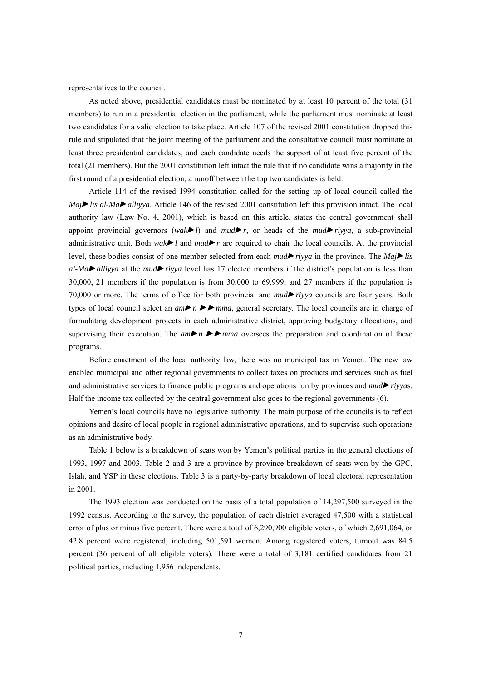representatives to the council.

As noted above, presidential candidates must be nominated by at least 10 percent of the total (31 members) to run in a presidential election in the parliament, while the parliament must nominate at least two candidates for a valid election to take place. Article 107 of the revised 2001 constitution dropped this rule and stipulated that the joint meeting of the parliament and the consultative council must nominate at least three presidential candidates, and each candidate needs the support of at least five percent of the total (21 members). But the 2001 constitution left intact the rule that if no candidate wins a majority in the first round of a presidential election, a runoff between the top two candidates is held.

Article 114 of the revised 1994 constitution called for the setting up of local council called the  $Maj$ *lis al-Ma alliyya*. Article 146 of the revised 2001 constitution left this provision intact. The local authority law (Law No. 4, 2001), which is based on this article, states the central government shall appoint provincial governors (*wak* $\blacktriangleright$  *l*) and *mud* $\blacktriangleright$  *r*, or heads of the *mud* $\blacktriangleright$  *riyya*, a sub-provincial administrative unit. Both *wak***l** and  $mud$ **r** are required to chair the local councils. At the provincial level, these bodies consist of one member selected from each *mudriyya* in the province. The *Majlis*   $al-Ma$ *alliyya* at the *mud* riyya level has 17 elected members if the district's population is less than 30,000, 21 members if the population is from 30,000 to 69,999, and 27 members if the population is 70,000 or more. The terms of office for both provincial and *mudriyya* councils are four years. Both types of local council select an  $am$   $\triangleright$   $m$   $m$ , general secretary. The local councils are in charge of formulating development projects in each administrative district, approving budgetary allocations, and supervising their execution. The  $am\nightharpoonup n \blacktriangleright m$  *ma* oversees the preparation and coordination of these programs.

Before enactment of the local authority law, there was no municipal tax in Yemen. The new law enabled municipal and other regional governments to collect taxes on products and services such as fuel and administrative services to finance public programs and operations run by provinces and *mudriyya*s. Half the income tax collected by the central government also goes to the regional governments (6).

Yemen's local councils have no legislative authority. The main purpose of the councils is to reflect opinions and desire of local people in regional administrative operations, and to supervise such operations as an administrative body.

Table 1 below is a breakdown of seats won by Yemen's political parties in the general elections of 1993, 1997 and 2003. Table 2 and 3 are a province-by-province breakdown of seats won by the GPC, Islah, and YSP in these elections. Table 3 is a party-by-party breakdown of local electoral representation in 2001.

The 1993 election was conducted on the basis of a total population of 14,297,500 surveyed in the 1992 census. According to the survey, the population of each district averaged 47,500 with a statistical error of plus or minus five percent. There were a total of 6,290,900 eligible voters, of which 2,691,064, or 42.8 percent were registered, including 501,591 women. Among registered voters, turnout was 84.5 percent (36 percent of all eligible voters). There were a total of 3,181 certified candidates from 21 political parties, including 1,956 independents.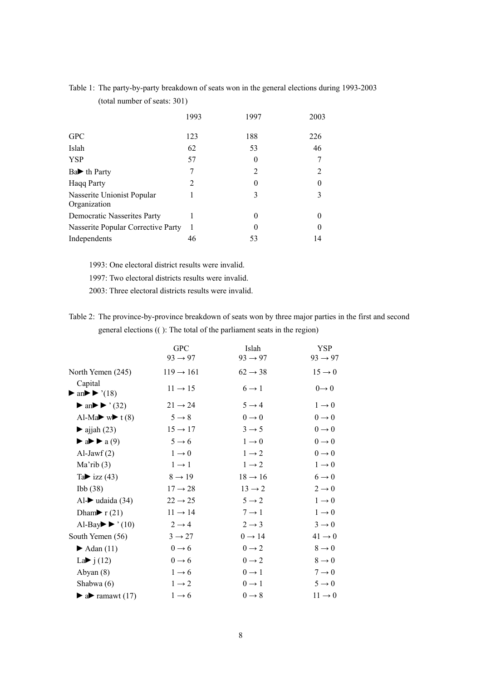| Table 1: The party-by-party breakdown of seats won in the general elections during 1993-2003 |  |
|----------------------------------------------------------------------------------------------|--|
| (total number of seats: $301$ )                                                              |  |

|                                            | 1993 | 1997 | 2003           |
|--------------------------------------------|------|------|----------------|
| <b>GPC</b>                                 | 123  | 188  | 226            |
| Islah                                      | 62   | 53   | 46             |
| <b>YSP</b>                                 | 57   | 0    | 7              |
| $Ba$ th Party                              |      | 2    | $\overline{2}$ |
| <b>Haqq Party</b>                          | 2    | 0    | $\Omega$       |
| Nasserite Unionist Popular<br>Organization |      | 3    | 3              |
| Democratic Nasserites Party                |      | 0    | 0              |
| Nasserite Popular Corrective Party         | 1    | 0    | $\theta$       |
| Independents                               | 46   | 53   | 14             |

1993: One electoral district results were invalid.

1997: Two electoral districts results were invalid.

2003: Three electoral districts results were invalid.

Table 2: The province-by-province breakdown of seats won by three major parties in the first and second general elections (( ): The total of the parliament seats in the region)

|                                                                                   | <b>GPC</b>            | Islah               | <b>YSP</b>           |
|-----------------------------------------------------------------------------------|-----------------------|---------------------|----------------------|
|                                                                                   | $93 \rightarrow 97$   | $93 \rightarrow 97$ | $93 \rightarrow 97$  |
| North Yemen (245)                                                                 | $119 \rightarrow 161$ | $62 \rightarrow 38$ | $15 \rightarrow 0$   |
| Capital<br>$\triangleright$ an $\triangleright$ $\triangleright$ '(18)            | $11 \rightarrow 15$   | $6 \rightarrow 1$   | $0 \rightarrow 0$    |
| $\blacktriangleright$ an $\blacktriangleright$ $\blacktriangleright$ $\cdot$ (32) | $21 \rightarrow 24$   | $5 \rightarrow 4$   | $1 \rightarrow 0$    |
| Al-Ma $\blacktriangleright$ w $\blacktriangleright$ t (8)                         | $5 \rightarrow 8$     | $0 \rightarrow 0$   | $0\longrightarrow 0$ |
| $\blacktriangleright$ ajjah (23)                                                  | $15 \rightarrow 17$   | $3 \rightarrow 5$   | $0\longrightarrow 0$ |
| $\blacktriangleright$ a $\blacktriangleright$ a (9)                               | $5 \rightarrow 6$     | $1 \rightarrow 0$   | $0 \rightarrow 0$    |
| Al-Jaw $f(2)$                                                                     | $1 \rightarrow 0$     | $1 \rightarrow 2$   | $0 \rightarrow 0$    |
| Ma'rib(3)                                                                         | $1 \rightarrow 1$     | $1 \rightarrow 2$   | $1 \rightarrow 0$    |
| Ta $\rightarrow$ izz (43)                                                         | $8 \rightarrow 19$    | $18 \rightarrow 16$ | $6 \rightarrow 0$    |
| Ibb(38)                                                                           | $17 \rightarrow 28$   | $13 \rightarrow 2$  | $2 \rightarrow 0$    |
| Al- $\blacktriangleright$ udaida (34)                                             | $22 \rightarrow 25$   | $5 \rightarrow 2$   | $1 \rightarrow 0$    |
| Dham <b>&gt;</b> $r(21)$                                                          | $11 \rightarrow 14$   | $7 \rightarrow 1$   | $1 \rightarrow 0$    |
| Al-Bay $\blacktriangleright$ (10)                                                 | $2 \rightarrow 4$     | $2 \rightarrow 3$   | $3 \rightarrow 0$    |
| South Yemen (56)                                                                  | $3 \rightarrow 27$    | $0 \rightarrow 14$  | $41 \rightarrow 0$   |
| $\blacktriangleright$ Adan (11)                                                   | $0 \rightarrow 6$     | $0 \rightarrow 2$   | $8 \rightarrow 0$    |
| La $\blacktriangleright$ j (12)                                                   | $0 \rightarrow 6$     | $0 \rightarrow 2$   | $8 \rightarrow 0$    |
| Abyan (8)                                                                         | $1 \rightarrow 6$     | $0 \rightarrow 1$   | $7 \rightarrow 0$    |
| Shabwa (6)                                                                        | $1 \rightarrow 2$     | $0 \rightarrow 1$   | $5 \rightarrow 0$    |
| $\blacktriangleright$ a ramawt (17)                                               | $1 \rightarrow 6$     | $0 \rightarrow 8$   | $11 \rightarrow 0$   |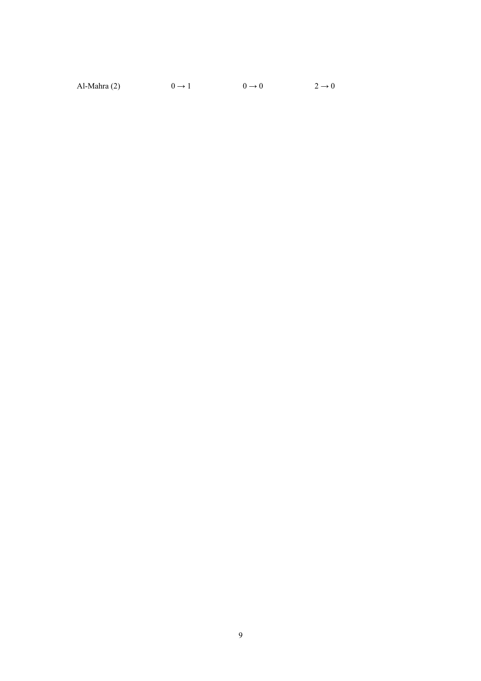Al-Mahra (2)  $0 \rightarrow 1$   $0 \rightarrow 0$   $2 \rightarrow 0$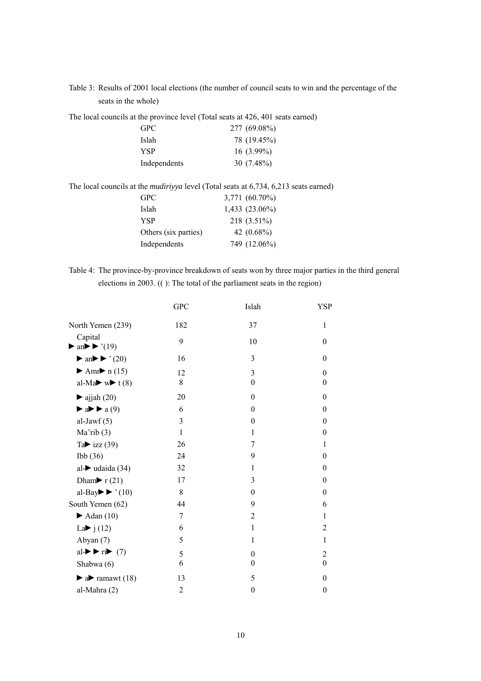Table 3: Results of 2001 local elections (the number of council seats to win and the percentage of the seats in the whole)

The local councils at the province level (Total seats at 426, 401 seats earned)

| <b>GPC</b>   | 277 (69.08%) |
|--------------|--------------|
| Islah        | 78 (19.45%)  |
| YSP          | $16(3.99\%)$ |
| Independents | $30(7.48\%)$ |

The local councils at the *mudiriyya* level (Total seats at 6,734, 6,213 seats earned)

| <b>GPC</b>           | 3,771 (60.70%) |
|----------------------|----------------|
| Islah                | 1,433 (23.06%) |
| <b>YSP</b>           | 218 (3.51%)    |
| Others (six parties) | 42 $(0.68\%)$  |
| Independents         | 749 (12.06%)   |

Table 4: The province-by-province breakdown of seats won by three major parties in the third general elections in 2003. (( ): The total of the parliament seats in the region)

|                                                                                     | <b>GPC</b>     | Islah            | YSP              |
|-------------------------------------------------------------------------------------|----------------|------------------|------------------|
| North Yemen (239)                                                                   | 182            | 37               | $\mathbf{1}$     |
| Capital<br>$\blacktriangleright$ an $\blacktriangleright \blacktriangleright$ '(19) | 9              | 10               | $\theta$         |
| $\blacktriangleright$ an $\blacktriangleright$ $\blacktriangleright$ '(20)          | 16             | 3                | $\Omega$         |
| Amr $\blacktriangleright$ n (15)                                                    | 12             | 3                | $\theta$         |
| al-Ma $\blacktriangleright$ w $\blacktriangleright$ t (8)                           | 8              | $\theta$         | $\theta$         |
| $\blacktriangleright$ ajjah (20)                                                    | 20             | $\theta$         | $\theta$         |
| $\blacktriangleright$ a $\blacktriangleright$ a (9)                                 | 6              | $\theta$         | $\boldsymbol{0}$ |
| al-Jaw $f(5)$                                                                       | 3              | $\boldsymbol{0}$ | $\boldsymbol{0}$ |
| Ma'rib(3)                                                                           | $\mathbf{1}$   | 1                | $\boldsymbol{0}$ |
| Ta $\blacktriangleright$ izz (39)                                                   | 26             | 7                | 1                |
| Ibb(36)                                                                             | 24             | 9                | $\mathbf{0}$     |
| al- $\blacktriangleright$ udaida (34)                                               | 32             | 1                | $\theta$         |
| Dham $\blacktriangleright$ r(21)                                                    | 17             | 3                | $\theta$         |
| al-Bay $\blacktriangleright$ $\blacktriangleright$ $(10)$                           | 8              | $\theta$         | $\theta$         |
| South Yemen (62)                                                                    | 44             | 9                | 6                |
| $\blacktriangleright$ Adan (10)                                                     | 7              | $\overline{2}$   | 1                |
| La $\rightarrow$ j (12)                                                             | 6              | $\mathbf{1}$     | $\overline{2}$   |
| Abyan (7)                                                                           | 5              | 1                | $\mathbf{1}$     |
| al- $\blacktriangleright$ $\blacktriangleright$ ri $\blacktriangleright$ (7)        | 5              | $\theta$         | $\overline{2}$   |
| Shabwa (6)                                                                          | 6              | $\theta$         | $\theta$         |
| $\blacktriangleright$ a $\blacktriangleright$ ramawt (18)                           | 13             | 5                | $\theta$         |
| al-Mahra(2)                                                                         | $\overline{2}$ | $\theta$         | $\mathbf{0}$     |
|                                                                                     |                |                  |                  |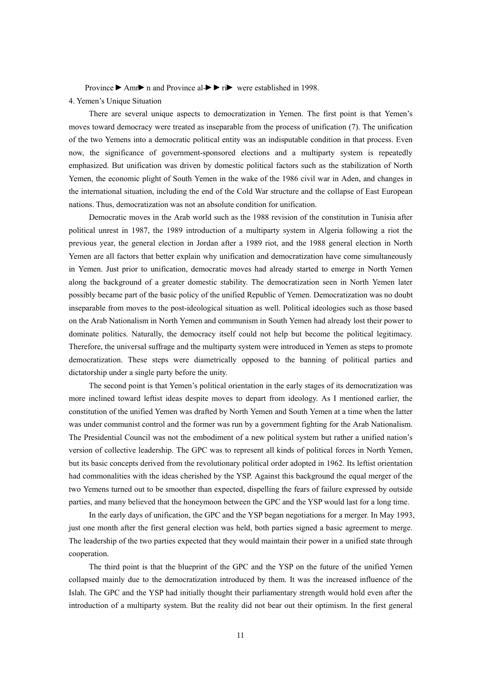Province  $\blacktriangleright$  Amr $\blacktriangleright$  n and Province al $\blacktriangleright$   $\blacktriangleright$  ri $\blacktriangleright$  were established in 1998.

### 4. Yemen's Unique Situation

There are several unique aspects to democratization in Yemen. The first point is that Yemen's moves toward democracy were treated as inseparable from the process of unification (7). The unification of the two Yemens into a democratic political entity was an indisputable condition in that process. Even now, the significance of government-sponsored elections and a multiparty system is repeatedly emphasized. But unification was driven by domestic political factors such as the stabilization of North Yemen, the economic plight of South Yemen in the wake of the 1986 civil war in Aden, and changes in the international situation, including the end of the Cold War structure and the collapse of East European nations. Thus, democratization was not an absolute condition for unification.

Democratic moves in the Arab world such as the 1988 revision of the constitution in Tunisia after political unrest in 1987, the 1989 introduction of a multiparty system in Algeria following a riot the previous year, the general election in Jordan after a 1989 riot, and the 1988 general election in North Yemen are all factors that better explain why unification and democratization have come simultaneously in Yemen. Just prior to unification, democratic moves had already started to emerge in North Yemen along the background of a greater domestic stability. The democratization seen in North Yemen later possibly became part of the basic policy of the unified Republic of Yemen. Democratization was no doubt inseparable from moves to the post-ideological situation as well. Political ideologies such as those based on the Arab Nationalism in North Yemen and communism in South Yemen had already lost their power to dominate politics. Naturally, the democracy itself could not help but become the political legitimacy. Therefore, the universal suffrage and the multiparty system were introduced in Yemen as steps to promote democratization. These steps were diametrically opposed to the banning of political parties and dictatorship under a single party before the unity.

The second point is that Yemen's political orientation in the early stages of its democratization was more inclined toward leftist ideas despite moves to depart from ideology. As I mentioned earlier, the constitution of the unified Yemen was drafted by North Yemen and South Yemen at a time when the latter was under communist control and the former was run by a government fighting for the Arab Nationalism. The Presidential Council was not the embodiment of a new political system but rather a unified nation's version of collective leadership. The GPC was to represent all kinds of political forces in North Yemen, but its basic concepts derived from the revolutionary political order adopted in 1962. Its leftist orientation had commonalities with the ideas cherished by the YSP. Against this background the equal merger of the two Yemens turned out to be smoother than expected, dispelling the fears of failure expressed by outside parties, and many believed that the honeymoon between the GPC and the YSP would last for a long time.

In the early days of unification, the GPC and the YSP began negotiations for a merger. In May 1993, just one month after the first general election was held, both parties signed a basic agreement to merge. The leadership of the two parties expected that they would maintain their power in a unified state through cooperation.

The third point is that the blueprint of the GPC and the YSP on the future of the unified Yemen collapsed mainly due to the democratization introduced by them. It was the increased influence of the Islah. The GPC and the YSP had initially thought their parliamentary strength would hold even after the introduction of a multiparty system. But the reality did not bear out their optimism. In the first general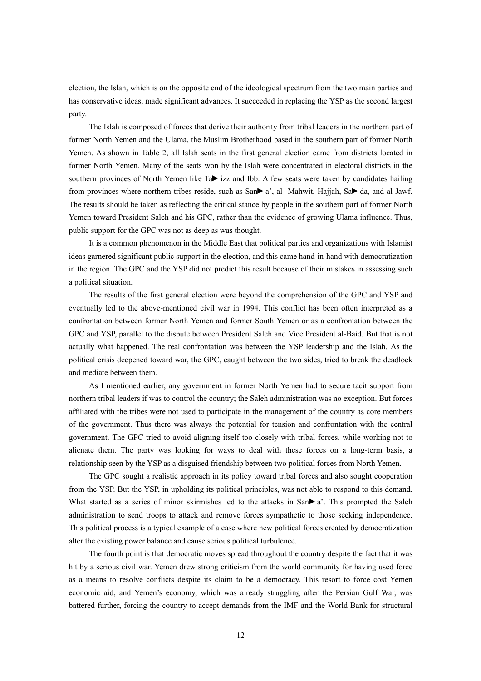election, the Islah, which is on the opposite end of the ideological spectrum from the two main parties and has conservative ideas, made significant advances. It succeeded in replacing the YSP as the second largest party.

The Islah is composed of forces that derive their authority from tribal leaders in the northern part of former North Yemen and the Ulama, the Muslim Brotherhood based in the southern part of former North Yemen. As shown in Table 2, all Islah seats in the first general election came from districts located in former North Yemen. Many of the seats won by the Islah were concentrated in electoral districts in the southern provinces of North Yemen like Ta $\blacktriangleright$  izz and Ibb. A few seats were taken by candidates hailing from provinces where northern tribes reside, such as San $\blacktriangleright$  a', al- Mahwit, Hajjah, Sa $\blacktriangleright$  da, and al-Jawf. The results should be taken as reflecting the critical stance by people in the southern part of former North Yemen toward President Saleh and his GPC, rather than the evidence of growing Ulama influence. Thus, public support for the GPC was not as deep as was thought.

It is a common phenomenon in the Middle East that political parties and organizations with Islamist ideas garnered significant public support in the election, and this came hand-in-hand with democratization in the region. The GPC and the YSP did not predict this result because of their mistakes in assessing such a political situation.

The results of the first general election were beyond the comprehension of the GPC and YSP and eventually led to the above-mentioned civil war in 1994. This conflict has been often interpreted as a confrontation between former North Yemen and former South Yemen or as a confrontation between the GPC and YSP, parallel to the dispute between President Saleh and Vice President al-Baid. But that is not actually what happened. The real confrontation was between the YSP leadership and the Islah. As the political crisis deepened toward war, the GPC, caught between the two sides, tried to break the deadlock and mediate between them.

As I mentioned earlier, any government in former North Yemen had to secure tacit support from northern tribal leaders if was to control the country; the Saleh administration was no exception. But forces affiliated with the tribes were not used to participate in the management of the country as core members of the government. Thus there was always the potential for tension and confrontation with the central government. The GPC tried to avoid aligning itself too closely with tribal forces, while working not to alienate them. The party was looking for ways to deal with these forces on a long-term basis, a relationship seen by the YSP as a disguised friendship between two political forces from North Yemen.

The GPC sought a realistic approach in its policy toward tribal forces and also sought cooperation from the YSP. But the YSP, in upholding its political principles, was not able to respond to this demand. What started as a series of minor skirmishes led to the attacks in  $San \blacktriangleright a'$ . This prompted the Saleh administration to send troops to attack and remove forces sympathetic to those seeking independence. This political process is a typical example of a case where new political forces created by democratization alter the existing power balance and cause serious political turbulence.

The fourth point is that democratic moves spread throughout the country despite the fact that it was hit by a serious civil war. Yemen drew strong criticism from the world community for having used force as a means to resolve conflicts despite its claim to be a democracy. This resort to force cost Yemen economic aid, and Yemen's economy, which was already struggling after the Persian Gulf War, was battered further, forcing the country to accept demands from the IMF and the World Bank for structural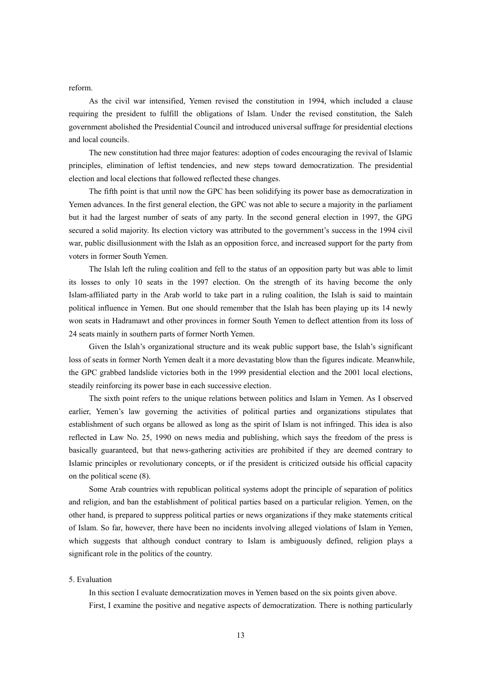reform.

As the civil war intensified, Yemen revised the constitution in 1994, which included a clause requiring the president to fulfill the obligations of Islam. Under the revised constitution, the Saleh government abolished the Presidential Council and introduced universal suffrage for presidential elections and local councils.

The new constitution had three major features: adoption of codes encouraging the revival of Islamic principles, elimination of leftist tendencies, and new steps toward democratization. The presidential election and local elections that followed reflected these changes.

The fifth point is that until now the GPC has been solidifying its power base as democratization in Yemen advances. In the first general election, the GPC was not able to secure a majority in the parliament but it had the largest number of seats of any party. In the second general election in 1997, the GPG secured a solid majority. Its election victory was attributed to the government's success in the 1994 civil war, public disillusionment with the Islah as an opposition force, and increased support for the party from voters in former South Yemen.

The Islah left the ruling coalition and fell to the status of an opposition party but was able to limit its losses to only 10 seats in the 1997 election. On the strength of its having become the only Islam-affiliated party in the Arab world to take part in a ruling coalition, the Islah is said to maintain political influence in Yemen. But one should remember that the Islah has been playing up its 14 newly won seats in Hadramawt and other provinces in former South Yemen to deflect attention from its loss of 24 seats mainly in southern parts of former North Yemen.

Given the Islah's organizational structure and its weak public support base, the Islah's significant loss of seats in former North Yemen dealt it a more devastating blow than the figures indicate. Meanwhile, the GPC grabbed landslide victories both in the 1999 presidential election and the 2001 local elections, steadily reinforcing its power base in each successive election.

The sixth point refers to the unique relations between politics and Islam in Yemen. As I observed earlier, Yemen's law governing the activities of political parties and organizations stipulates that establishment of such organs be allowed as long as the spirit of Islam is not infringed. This idea is also reflected in Law No. 25, 1990 on news media and publishing, which says the freedom of the press is basically guaranteed, but that news-gathering activities are prohibited if they are deemed contrary to Islamic principles or revolutionary concepts, or if the president is criticized outside his official capacity on the political scene (8).

Some Arab countries with republican political systems adopt the principle of separation of politics and religion, and ban the establishment of political parties based on a particular religion. Yemen, on the other hand, is prepared to suppress political parties or news organizations if they make statements critical of Islam. So far, however, there have been no incidents involving alleged violations of Islam in Yemen, which suggests that although conduct contrary to Islam is ambiguously defined, religion plays a significant role in the politics of the country.

### 5. Evaluation

In this section I evaluate democratization moves in Yemen based on the six points given above. First, I examine the positive and negative aspects of democratization. There is nothing particularly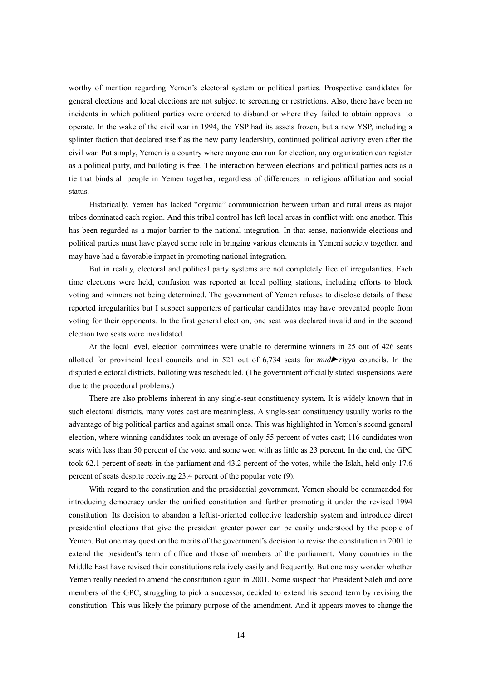worthy of mention regarding Yemen's electoral system or political parties. Prospective candidates for general elections and local elections are not subject to screening or restrictions. Also, there have been no incidents in which political parties were ordered to disband or where they failed to obtain approval to operate. In the wake of the civil war in 1994, the YSP had its assets frozen, but a new YSP, including a splinter faction that declared itself as the new party leadership, continued political activity even after the civil war. Put simply, Yemen is a country where anyone can run for election, any organization can register as a political party, and balloting is free. The interaction between elections and political parties acts as a tie that binds all people in Yemen together, regardless of differences in religious affiliation and social status.

Historically, Yemen has lacked "organic" communication between urban and rural areas as major tribes dominated each region. And this tribal control has left local areas in conflict with one another. This has been regarded as a major barrier to the national integration. In that sense, nationwide elections and political parties must have played some role in bringing various elements in Yemeni society together, and may have had a favorable impact in promoting national integration.

But in reality, electoral and political party systems are not completely free of irregularities. Each time elections were held, confusion was reported at local polling stations, including efforts to block voting and winners not being determined. The government of Yemen refuses to disclose details of these reported irregularities but I suspect supporters of particular candidates may have prevented people from voting for their opponents. In the first general election, one seat was declared invalid and in the second election two seats were invalidated.

At the local level, election committees were unable to determine winners in 25 out of 426 seats allotted for provincial local councils and in 521 out of 6,734 seats for *mudriyya* councils. In the disputed electoral districts, balloting was rescheduled. (The government officially stated suspensions were due to the procedural problems.)

There are also problems inherent in any single-seat constituency system. It is widely known that in such electoral districts, many votes cast are meaningless. A single-seat constituency usually works to the advantage of big political parties and against small ones. This was highlighted in Yemen's second general election, where winning candidates took an average of only 55 percent of votes cast; 116 candidates won seats with less than 50 percent of the vote, and some won with as little as 23 percent. In the end, the GPC took 62.1 percent of seats in the parliament and 43.2 percent of the votes, while the Islah, held only 17.6 percent of seats despite receiving 23.4 percent of the popular vote (9).

With regard to the constitution and the presidential government, Yemen should be commended for introducing democracy under the unified constitution and further promoting it under the revised 1994 constitution. Its decision to abandon a leftist-oriented collective leadership system and introduce direct presidential elections that give the president greater power can be easily understood by the people of Yemen. But one may question the merits of the government's decision to revise the constitution in 2001 to extend the president's term of office and those of members of the parliament. Many countries in the Middle East have revised their constitutions relatively easily and frequently. But one may wonder whether Yemen really needed to amend the constitution again in 2001. Some suspect that President Saleh and core members of the GPC, struggling to pick a successor, decided to extend his second term by revising the constitution. This was likely the primary purpose of the amendment. And it appears moves to change the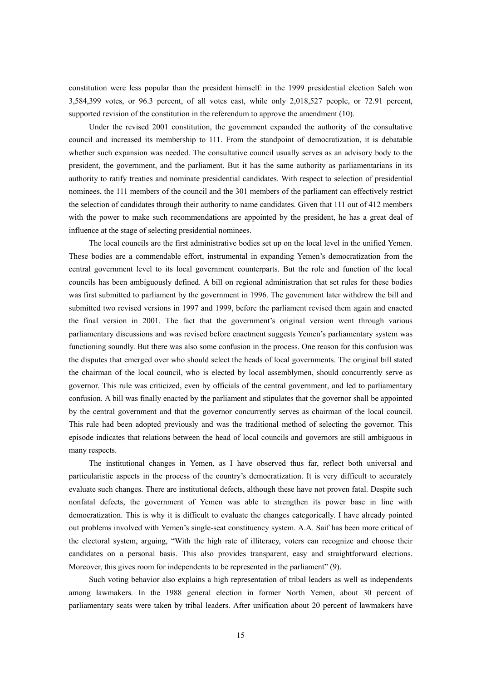constitution were less popular than the president himself: in the 1999 presidential election Saleh won 3,584,399 votes, or 96.3 percent, of all votes cast, while only 2,018,527 people, or 72.91 percent, supported revision of the constitution in the referendum to approve the amendment (10).

Under the revised 2001 constitution, the government expanded the authority of the consultative council and increased its membership to 111. From the standpoint of democratization, it is debatable whether such expansion was needed. The consultative council usually serves as an advisory body to the president, the government, and the parliament. But it has the same authority as parliamentarians in its authority to ratify treaties and nominate presidential candidates. With respect to selection of presidential nominees, the 111 members of the council and the 301 members of the parliament can effectively restrict the selection of candidates through their authority to name candidates. Given that 111 out of 412 members with the power to make such recommendations are appointed by the president, he has a great deal of influence at the stage of selecting presidential nominees.

The local councils are the first administrative bodies set up on the local level in the unified Yemen. These bodies are a commendable effort, instrumental in expanding Yemen's democratization from the central government level to its local government counterparts. But the role and function of the local councils has been ambiguously defined. A bill on regional administration that set rules for these bodies was first submitted to parliament by the government in 1996. The government later withdrew the bill and submitted two revised versions in 1997 and 1999, before the parliament revised them again and enacted the final version in 2001. The fact that the government's original version went through various parliamentary discussions and was revised before enactment suggests Yemen's parliamentary system was functioning soundly. But there was also some confusion in the process. One reason for this confusion was the disputes that emerged over who should select the heads of local governments. The original bill stated the chairman of the local council, who is elected by local assemblymen, should concurrently serve as governor. This rule was criticized, even by officials of the central government, and led to parliamentary confusion. A bill was finally enacted by the parliament and stipulates that the governor shall be appointed by the central government and that the governor concurrently serves as chairman of the local council. This rule had been adopted previously and was the traditional method of selecting the governor. This episode indicates that relations between the head of local councils and governors are still ambiguous in many respects.

The institutional changes in Yemen, as I have observed thus far, reflect both universal and particularistic aspects in the process of the country's democratization. It is very difficult to accurately evaluate such changes. There are institutional defects, although these have not proven fatal. Despite such nonfatal defects, the government of Yemen was able to strengthen its power base in line with democratization. This is why it is difficult to evaluate the changes categorically. I have already pointed out problems involved with Yemen's single-seat constituency system. A.A. Saif has been more critical of the electoral system, arguing, "With the high rate of illiteracy, voters can recognize and choose their candidates on a personal basis. This also provides transparent, easy and straightforward elections. Moreover, this gives room for independents to be represented in the parliament" (9).

Such voting behavior also explains a high representation of tribal leaders as well as independents among lawmakers. In the 1988 general election in former North Yemen, about 30 percent of parliamentary seats were taken by tribal leaders. After unification about 20 percent of lawmakers have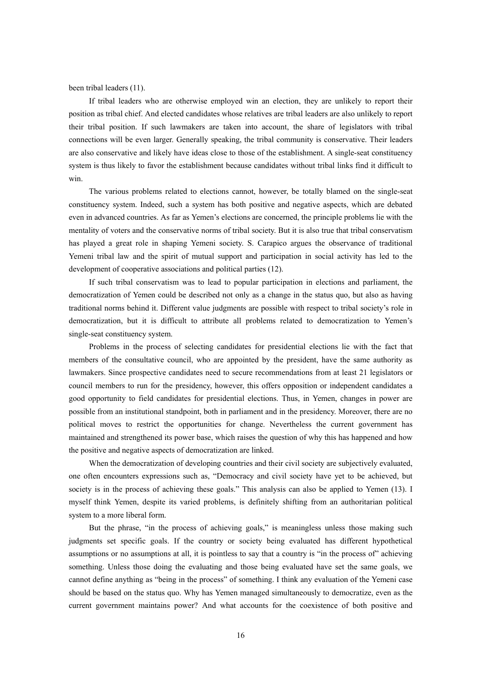been tribal leaders (11).

If tribal leaders who are otherwise employed win an election, they are unlikely to report their position as tribal chief. And elected candidates whose relatives are tribal leaders are also unlikely to report their tribal position. If such lawmakers are taken into account, the share of legislators with tribal connections will be even larger. Generally speaking, the tribal community is conservative. Their leaders are also conservative and likely have ideas close to those of the establishment. A single-seat constituency system is thus likely to favor the establishment because candidates without tribal links find it difficult to win.

The various problems related to elections cannot, however, be totally blamed on the single-seat constituency system. Indeed, such a system has both positive and negative aspects, which are debated even in advanced countries. As far as Yemen's elections are concerned, the principle problems lie with the mentality of voters and the conservative norms of tribal society. But it is also true that tribal conservatism has played a great role in shaping Yemeni society. S. Carapico argues the observance of traditional Yemeni tribal law and the spirit of mutual support and participation in social activity has led to the development of cooperative associations and political parties (12).

If such tribal conservatism was to lead to popular participation in elections and parliament, the democratization of Yemen could be described not only as a change in the status quo, but also as having traditional norms behind it. Different value judgments are possible with respect to tribal society's role in democratization, but it is difficult to attribute all problems related to democratization to Yemen's single-seat constituency system.

Problems in the process of selecting candidates for presidential elections lie with the fact that members of the consultative council, who are appointed by the president, have the same authority as lawmakers. Since prospective candidates need to secure recommendations from at least 21 legislators or council members to run for the presidency, however, this offers opposition or independent candidates a good opportunity to field candidates for presidential elections. Thus, in Yemen, changes in power are possible from an institutional standpoint, both in parliament and in the presidency. Moreover, there are no political moves to restrict the opportunities for change. Nevertheless the current government has maintained and strengthened its power base, which raises the question of why this has happened and how the positive and negative aspects of democratization are linked.

When the democratization of developing countries and their civil society are subjectively evaluated, one often encounters expressions such as, "Democracy and civil society have yet to be achieved, but society is in the process of achieving these goals." This analysis can also be applied to Yemen (13). I myself think Yemen, despite its varied problems, is definitely shifting from an authoritarian political system to a more liberal form.

But the phrase, "in the process of achieving goals," is meaningless unless those making such judgments set specific goals. If the country or society being evaluated has different hypothetical assumptions or no assumptions at all, it is pointless to say that a country is "in the process of" achieving something. Unless those doing the evaluating and those being evaluated have set the same goals, we cannot define anything as "being in the process" of something. I think any evaluation of the Yemeni case should be based on the status quo. Why has Yemen managed simultaneously to democratize, even as the current government maintains power? And what accounts for the coexistence of both positive and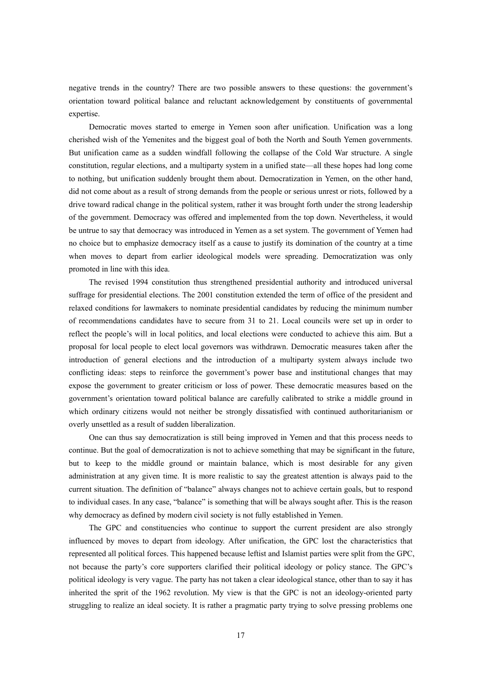negative trends in the country? There are two possible answers to these questions: the government's orientation toward political balance and reluctant acknowledgement by constituents of governmental expertise.

Democratic moves started to emerge in Yemen soon after unification. Unification was a long cherished wish of the Yemenites and the biggest goal of both the North and South Yemen governments. But unification came as a sudden windfall following the collapse of the Cold War structure. A single constitution, regular elections, and a multiparty system in a unified state—all these hopes had long come to nothing, but unification suddenly brought them about. Democratization in Yemen, on the other hand, did not come about as a result of strong demands from the people or serious unrest or riots, followed by a drive toward radical change in the political system, rather it was brought forth under the strong leadership of the government. Democracy was offered and implemented from the top down. Nevertheless, it would be untrue to say that democracy was introduced in Yemen as a set system. The government of Yemen had no choice but to emphasize democracy itself as a cause to justify its domination of the country at a time when moves to depart from earlier ideological models were spreading. Democratization was only promoted in line with this idea.

The revised 1994 constitution thus strengthened presidential authority and introduced universal suffrage for presidential elections. The 2001 constitution extended the term of office of the president and relaxed conditions for lawmakers to nominate presidential candidates by reducing the minimum number of recommendations candidates have to secure from 31 to 21. Local councils were set up in order to reflect the people's will in local politics, and local elections were conducted to achieve this aim. But a proposal for local people to elect local governors was withdrawn. Democratic measures taken after the introduction of general elections and the introduction of a multiparty system always include two conflicting ideas: steps to reinforce the government's power base and institutional changes that may expose the government to greater criticism or loss of power. These democratic measures based on the government's orientation toward political balance are carefully calibrated to strike a middle ground in which ordinary citizens would not neither be strongly dissatisfied with continued authoritarianism or overly unsettled as a result of sudden liberalization.

One can thus say democratization is still being improved in Yemen and that this process needs to continue. But the goal of democratization is not to achieve something that may be significant in the future, but to keep to the middle ground or maintain balance, which is most desirable for any given administration at any given time. It is more realistic to say the greatest attention is always paid to the current situation. The definition of "balance" always changes not to achieve certain goals, but to respond to individual cases. In any case, "balance" is something that will be always sought after. This is the reason why democracy as defined by modern civil society is not fully established in Yemen.

The GPC and constituencies who continue to support the current president are also strongly influenced by moves to depart from ideology. After unification, the GPC lost the characteristics that represented all political forces. This happened because leftist and Islamist parties were split from the GPC, not because the party's core supporters clarified their political ideology or policy stance. The GPC's political ideology is very vague. The party has not taken a clear ideological stance, other than to say it has inherited the sprit of the 1962 revolution. My view is that the GPC is not an ideology-oriented party struggling to realize an ideal society. It is rather a pragmatic party trying to solve pressing problems one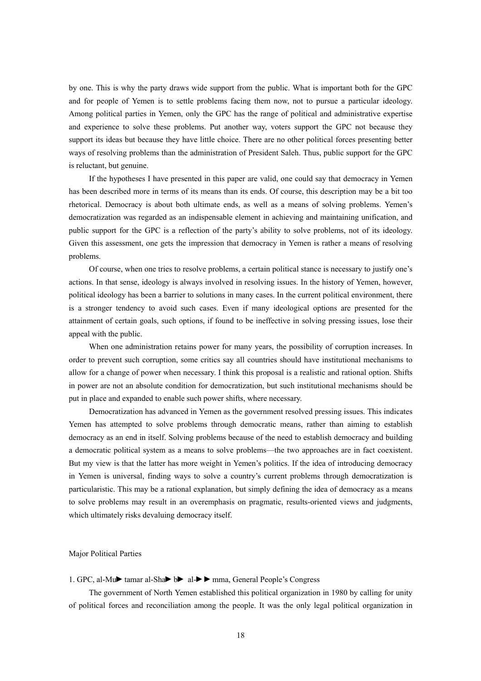by one. This is why the party draws wide support from the public. What is important both for the GPC and for people of Yemen is to settle problems facing them now, not to pursue a particular ideology. Among political parties in Yemen, only the GPC has the range of political and administrative expertise and experience to solve these problems. Put another way, voters support the GPC not because they support its ideas but because they have little choice. There are no other political forces presenting better ways of resolving problems than the administration of President Saleh. Thus, public support for the GPC is reluctant, but genuine.

If the hypotheses I have presented in this paper are valid, one could say that democracy in Yemen has been described more in terms of its means than its ends. Of course, this description may be a bit too rhetorical. Democracy is about both ultimate ends, as well as a means of solving problems. Yemen's democratization was regarded as an indispensable element in achieving and maintaining unification, and public support for the GPC is a reflection of the party's ability to solve problems, not of its ideology. Given this assessment, one gets the impression that democracy in Yemen is rather a means of resolving problems.

Of course, when one tries to resolve problems, a certain political stance is necessary to justify one's actions. In that sense, ideology is always involved in resolving issues. In the history of Yemen, however, political ideology has been a barrier to solutions in many cases. In the current political environment, there is a stronger tendency to avoid such cases. Even if many ideological options are presented for the attainment of certain goals, such options, if found to be ineffective in solving pressing issues, lose their appeal with the public.

When one administration retains power for many years, the possibility of corruption increases. In order to prevent such corruption, some critics say all countries should have institutional mechanisms to allow for a change of power when necessary. I think this proposal is a realistic and rational option. Shifts in power are not an absolute condition for democratization, but such institutional mechanisms should be put in place and expanded to enable such power shifts, where necessary.

Democratization has advanced in Yemen as the government resolved pressing issues. This indicates Yemen has attempted to solve problems through democratic means, rather than aiming to establish democracy as an end in itself. Solving problems because of the need to establish democracy and building a democratic political system as a means to solve problems—the two approaches are in fact coexistent. But my view is that the latter has more weight in Yemen's politics. If the idea of introducing democracy in Yemen is universal, finding ways to solve a country's current problems through democratization is particularistic. This may be a rational explanation, but simply defining the idea of democracy as a means to solve problems may result in an overemphasis on pragmatic, results-oriented views and judgments, which ultimately risks devaluing democracy itself.

### Major Political Parties

#### 1. GPC, al-Mu $\blacktriangleright$  tamar al-Sha $\blacktriangleright$  b $\blacktriangleright$  al- $\blacktriangleright$  mma, General People's Congress

The government of North Yemen established this political organization in 1980 by calling for unity of political forces and reconciliation among the people. It was the only legal political organization in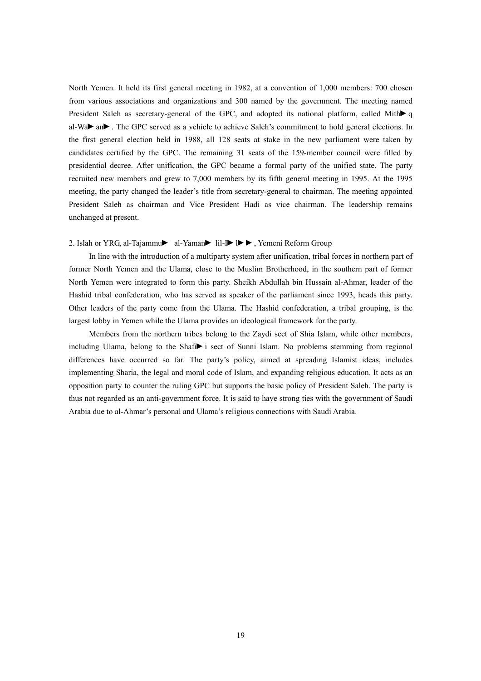North Yemen. It held its first general meeting in 1982, at a convention of 1,000 members: 700 chosen from various associations and organizations and 300 named by the government. The meeting named President Saleh as secretary-general of the GPC, and adopted its national platform, called Mith $\blacktriangleright$  q al-Wa $\blacktriangleright$  an $\blacktriangleright$ . The GPC served as a vehicle to achieve Saleh's commitment to hold general elections. In the first general election held in 1988, all 128 seats at stake in the new parliament were taken by candidates certified by the GPC. The remaining 31 seats of the 159-member council were filled by presidential decree. After unification, the GPC became a formal party of the unified state. The party recruited new members and grew to 7,000 members by its fifth general meeting in 1995. At the 1995 meeting, the party changed the leader's title from secretary-general to chairman. The meeting appointed President Saleh as chairman and Vice President Hadi as vice chairman. The leadership remains unchanged at present.

#### 2. Islah or YRG, al-Tajammu al-Yaman lil-I  $\blacktriangleright$   $\blacktriangleright$ , Yemeni Reform Group

In line with the introduction of a multiparty system after unification, tribal forces in northern part of former North Yemen and the Ulama, close to the Muslim Brotherhood, in the southern part of former North Yemen were integrated to form this party. Sheikh Abdullah bin Hussain al-Ahmar, leader of the Hashid tribal confederation, who has served as speaker of the parliament since 1993, heads this party. Other leaders of the party come from the Ulama. The Hashid confederation, a tribal grouping, is the largest lobby in Yemen while the Ulama provides an ideological framework for the party.

Members from the northern tribes belong to the Zaydi sect of Shia Islam, while other members, including Ulama, belong to the Shafi $\blacktriangleright$  i sect of Sunni Islam. No problems stemming from regional differences have occurred so far. The party's policy, aimed at spreading Islamist ideas, includes implementing Sharia, the legal and moral code of Islam, and expanding religious education. It acts as an opposition party to counter the ruling GPC but supports the basic policy of President Saleh. The party is thus not regarded as an anti-government force. It is said to have strong ties with the government of Saudi Arabia due to al-Ahmar's personal and Ulama's religious connections with Saudi Arabia.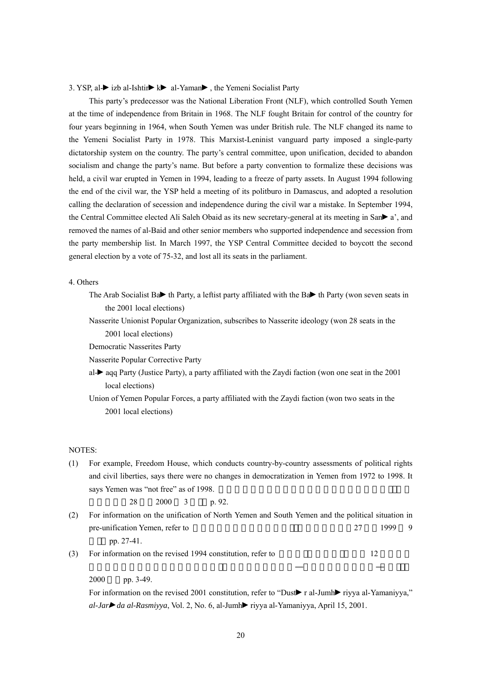#### 3. YSP, al $\rightarrow$ izb al-Ishtir $\rightarrow$ k $\rightarrow$ al-Yaman $\rightarrow$ , the Yemeni Socialist Party

This party's predecessor was the National Liberation Front (NLF), which controlled South Yemen at the time of independence from Britain in 1968. The NLF fought Britain for control of the country for four years beginning in 1964, when South Yemen was under British rule. The NLF changed its name to the Yemeni Socialist Party in 1978. This Marxist-Leninist vanguard party imposed a single-party dictatorship system on the country. The party's central committee, upon unification, decided to abandon socialism and change the party's name. But before a party convention to formalize these decisions was held, a civil war erupted in Yemen in 1994, leading to a freeze of party assets. In August 1994 following the end of the civil war, the YSP held a meeting of its politburo in Damascus, and adopted a resolution calling the declaration of secession and independence during the civil war a mistake. In September 1994, the Central Committee elected Ali Saleh Obaid as its new secretary-general at its meeting in San $\blacktriangleright$  a', and removed the names of al-Baid and other senior members who supported independence and secession from the party membership list. In March 1997, the YSP Central Committee decided to boycott the second general election by a vote of 75-32, and lost all its seats in the parliament.

### 4. Others

- The Arab Socialist Ba $\blacktriangleright$  th Party, a leftist party affiliated with the Ba $\blacktriangleright$  th Party (won seven seats in the 2001 local elections)
- Nasserite Unionist Popular Organization, subscribes to Nasserite ideology (won 28 seats in the 2001 local elections)
- Democratic Nasserites Party
- Nasserite Popular Corrective Party
- al- $\blacktriangleright$  aqq Party (Justice Party), a party affiliated with the Zaydi faction (won one seat in the 2001 local elections)
- Union of Yemen Popular Forces, a party affiliated with the Zaydi faction (won two seats in the 2001 local elections)

### NOTES:

(1) For example, Freedom House, which conducts country-by-country assessments of political rights and civil liberties, says there were no changes in democratization in Yemen from 1972 to 1998. It says Yemen was "not free" as of 1998.

```
28 2000 3 h 92
```
- (2) For information on the unification of North Yemen and South Yemen and the political situation in pre-unification Yemen, refer to 27 1999 9 pp. 27-41.
- (3) For information on the revised 1994 constitution, refer to  $12$

2000 pp. 3-49.

For information on the revised 2001 constitution, refer to "Dustral-Jumhright rivya al-Yamaniyya," *al-Jar→ da al-Rasmiyya*, Vol. 2, No. 6, al-Jumh→ riyya al-Yamaniyya, April 15, 2001.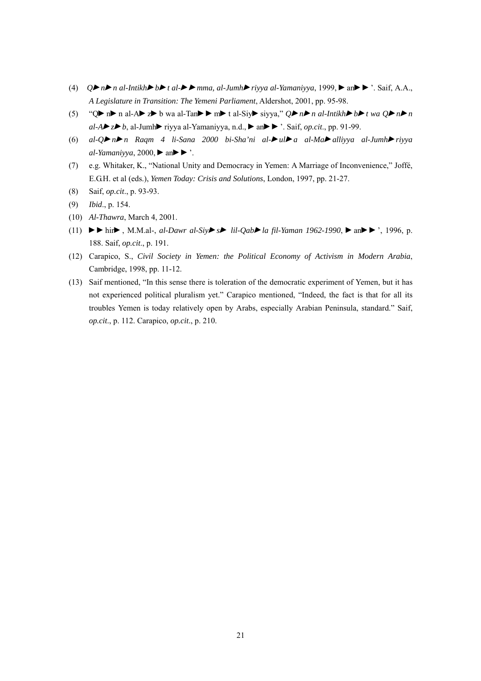- (4)  $Q \triangleright n \triangleright n$  al-Intikh $\triangleright b \triangleright t$  al- $\triangleright m$ mma, al-Jumh $\triangleright r$ iyya al-Yamaniyya, 1999,  $\triangleright$  an $\triangleright \triangleright$ '. Saif, A.A., *A Legislature in Transition: The Yemeni Parliament*, Aldershot, 2001, pp. 95-98.
- (5) " $Q \triangleright n \triangleright n$  al-A $\triangleright z \triangleright b$  wa al-Tan $\triangleright \triangleright m$  t al-Siy $\triangleright$  siyya,"  $Q \triangleright n \triangleright n$  al-Intikh $\triangleright b \triangleright t$  wa  $Q \triangleright n \triangleright n$  $aI-A \triangleright z \triangleright b$ , al-Jumh $\triangleright$  riyya al-Yamaniyya, n.d.,  $\triangleright$  an $\triangleright$   $\triangleright$  saif, *op.cit.*, pp. 91-99.
- (6) *al-Qnn Raqm 4 li-Sana 2000 bi-Sha'ni al-ula al-Maalliyya al-Jumhriyya al-Yamaniyya*, 2000,  $\triangleright$  an $\triangleright$   $\cdot$ .
- (7) e.g. Whitaker, K., "National Unity and Democracy in Yemen: A Marriage of Inconvenience," Joffé, E.G.H. et al (eds.), *Yemen Today: Crisis and Solutions*, London, 1997, pp. 21-27.
- (8) Saif, *op.cit*., p. 93-93.
- (9) *Ibid*., p. 154.
- (10) *Al-Thawra*, March 4, 2001.
- (11)  $\blacktriangleright\blacktriangleright$  hir $\blacktriangleright$ , M.M.al-, *al-Dawr al-Siy* $\blacktriangleright$  *s* $\blacktriangleright$  *lil-Qab* $\blacktriangleright$ *la fil-Yaman 1962-1990*,  $\blacktriangleright$  an $\blacktriangleright$   $\blacktriangleright$ , 1996, p. 188. Saif, *op.cit*., p. 191.
- (12) Carapico, S., *Civil Society in Yemen: the Political Economy of Activism in Modern Arabia*, Cambridge, 1998, pp. 11-12.
- (13) Saif mentioned, "In this sense there is toleration of the democratic experiment of Yemen, but it has not experienced political pluralism yet." Carapico mentioned, "Indeed, the fact is that for all its troubles Yemen is today relatively open by Arabs, especially Arabian Peninsula, standard." Saif, *op.cit*., p. 112. Carapico, *op.cit*., p. 210.